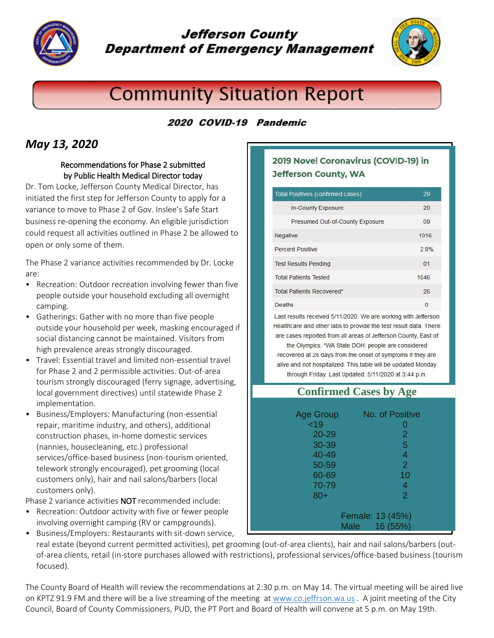

## **Jefferson County Department of Emergency Management**



# **Community Situation Report**

## 2020 COVID-19 Pandemic

## *May 13, 2020*

#### Recommendations for Phase 2 submitted by Public Health Medical Director today

Dr. Tom Locke, Jefferson County Medical Director, has initiated the first step for Jefferson County to apply for a variance to move to Phase 2 of Gov. Inslee's Safe Start business re-opening the economy. An eligible jurisdiction could request all activities outlined in Phase 2 be allowed to open or only some of them.

The Phase 2 variance activities recommended by Dr. Locke are:

- Recreation: Outdoor recreation involving fewer than five people outside your household excluding all overnight camping.
- Gatherings: Gather with no more than five people outside your household per week, masking encouraged if social distancing cannot be maintained. Visitors from high prevalence areas strongly discouraged.
- Travel: Essential travel and limited non-essential travel for Phase 2 and 2 permissible activities. Out-of-area tourism strongly discouraged (ferry signage, advertising, local government directives) until statewide Phase 2 implementation.
- Business/Employers: Manufacturing (non-essential repair, maritime industry, and others), additional construction phases, in-home domestic services (nannies, housecleaning, etc.) professional services/office-based business (non-tourism oriented, telework strongly encouraged), pet grooming (local customers only), hair and nail salons/barbers (local customers only).

Phase 2 variance activities NOT recommended include:

• Recreation: Outdoor activity with five or fewer people involving overnight camping (RV or campgrounds). • Business/Employers: Restaurants with sit-down service,

#### 2019 Novel Coronavirus (COVID-19) in **Jefferson County, WA**

| Total Positives (confirmed cases) | 29       |
|-----------------------------------|----------|
| In-County Exposure                | 20       |
| Presumed Out-of-County Exposure   | 09       |
| Negative                          | 1016     |
| Percent Positive                  | 2.8%     |
| <b>Test Results Pending</b>       | 01       |
| <b>Total Patients Tested</b>      | 1046     |
| Total Patients Recovered*         | 26       |
| <b>Deaths</b>                     | $\Omega$ |

Last results received 5/11/2020. We are working with Jefferson Healthcare and other labs to provide the test result data. There are cases reported from all areas of Jefferson County, East of

the Olympics. \*WA State DOH: people are considered recovered at 28 days from the onset of symptoms if they are alive and not hospitalized. This table will be updated Monday through Friday. Last Updated: 5/11/2020 at 3:44 p.m.

| <b>Confirmed Cases by Age</b> |                 |  |
|-------------------------------|-----------------|--|
|                               |                 |  |
| <b>Age Group</b>              | No. of Positive |  |
| ~19                           |                 |  |
| 20-29                         | 2               |  |
| 30-39                         | 5               |  |
| 40-49                         | $\overline{4}$  |  |
| 50-59                         | $\overline{2}$  |  |
| 60-69                         | 10              |  |
| 70-79                         | 4               |  |
| $80+$                         | $\overline{2}$  |  |
| Female: 13 (45%)              |                 |  |
| 16 (55%)<br><b>Male</b>       |                 |  |

real estate (beyond current permitted activities), pet grooming (out-of-area clients), hair and nail salons/barbers (outof-area clients, retail (in-store purchases allowed with restrictions), professional services/office-based business (tourism focused).

The County Board of Health will review the recommendations at 2:30 p.m. on May 14. The virtual meeting will be aired live on KPTZ 91.9 FM and there will be a live streaming of the meeting a[t www.co.jeffrson.wa.us](http://www.co.jeffrson.wa.us/) . A joint meeting of the City Council, Board of County Commissioners, PUD, the PT Port and Board of Health will convene at 5 p.m. on May 19th.